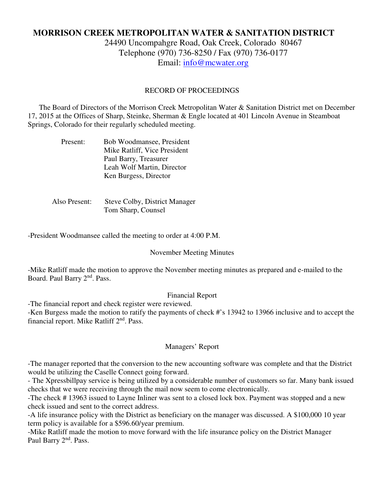# **MORRISON CREEK METROPOLITAN WATER & SANITATION DISTRICT**

24490 Uncompahgre Road, Oak Creek, Colorado 80467 Telephone (970) 736-8250 / Fax (970) 736-0177 Email: info@mcwater.org

### RECORD OF PROCEEDINGS

 The Board of Directors of the Morrison Creek Metropolitan Water & Sanitation District met on December 17, 2015 at the Offices of Sharp, Steinke, Sherman & Engle located at 401 Lincoln Avenue in Steamboat Springs, Colorado for their regularly scheduled meeting.

| Present: | Bob Woodmansee, President    |
|----------|------------------------------|
|          | Mike Ratliff, Vice President |
|          | Paul Barry, Treasurer        |
|          | Leah Wolf Martin, Director   |
|          | Ken Burgess, Director        |

 Also Present: Steve Colby, District Manager Tom Sharp, Counsel

-President Woodmansee called the meeting to order at 4:00 P.M.

#### November Meeting Minutes

-Mike Ratliff made the motion to approve the November meeting minutes as prepared and e-mailed to the Board. Paul Barry 2<sup>nd</sup>. Pass.

#### Financial Report

-The financial report and check register were reviewed. -Ken Burgess made the motion to ratify the payments of check #'s 13942 to 13966 inclusive and to accept the financial report. Mike Ratliff  $2<sup>nd</sup>$ . Pass.

#### Managers' Report

-The manager reported that the conversion to the new accounting software was complete and that the District would be utilizing the Caselle Connect going forward.

- The Xpressbillpay service is being utilized by a considerable number of customers so far. Many bank issued checks that we were receiving through the mail now seem to come electronically.

-The check # 13963 issued to Layne Inliner was sent to a closed lock box. Payment was stopped and a new check issued and sent to the correct address.

-A life insurance policy with the District as beneficiary on the manager was discussed. A \$100,000 10 year term policy is available for a \$596.60/year premium.

-Mike Ratliff made the motion to move forward with the life insurance policy on the District Manager Paul Barry 2<sup>nd</sup>. Pass.